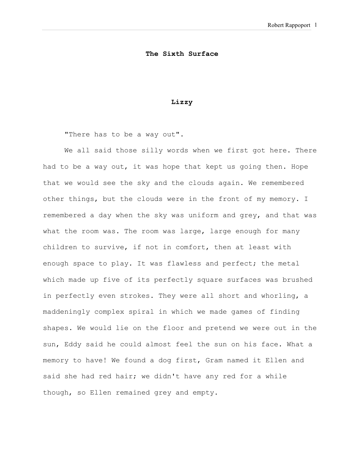## **The Sixth Surface**

## **Lizzy**

"There has to be a way out".

We all said those silly words when we first got here. There had to be a way out, it was hope that kept us going then. Hope that we would see the sky and the clouds again. We remembered other things, but the clouds were in the front of my memory. I remembered a day when the sky was uniform and grey, and that was what the room was. The room was large, large enough for many children to survive, if not in comfort, then at least with enough space to play. It was flawless and perfect; the metal which made up five of its perfectly square surfaces was brushed in perfectly even strokes. They were all short and whorling, a maddeningly complex spiral in which we made games of finding shapes. We would lie on the floor and pretend we were out in the sun, Eddy said he could almost feel the sun on his face. What a memory to have! We found a dog first, Gram named it Ellen and said she had red hair; we didn't have any red for a while though, so Ellen remained grey and empty.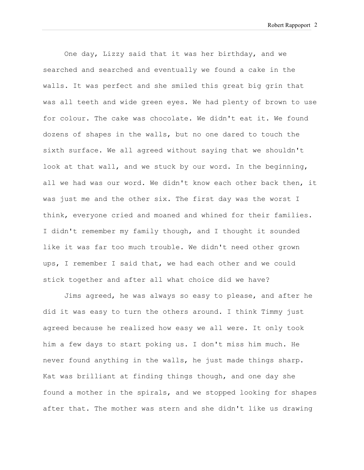One day, Lizzy said that it was her birthday, and we searched and searched and eventually we found a cake in the walls. It was perfect and she smiled this great big grin that was all teeth and wide green eyes. We had plenty of brown to use for colour. The cake was chocolate. We didn't eat it. We found dozens of shapes in the walls, but no one dared to touch the sixth surface. We all agreed without saying that we shouldn't look at that wall, and we stuck by our word. In the beginning, all we had was our word. We didn't know each other back then, it was just me and the other six. The first day was the worst I think, everyone cried and moaned and whined for their families. I didn't remember my family though, and I thought it sounded like it was far too much trouble. We didn't need other grown ups, I remember I said that, we had each other and we could stick together and after all what choice did we have?

Jims agreed, he was always so easy to please, and after he did it was easy to turn the others around. I think Timmy just agreed because he realized how easy we all were. It only took him a few days to start poking us. I don't miss him much. He never found anything in the walls, he just made things sharp. Kat was brilliant at finding things though, and one day she found a mother in the spirals, and we stopped looking for shapes after that. The mother was stern and she didn't like us drawing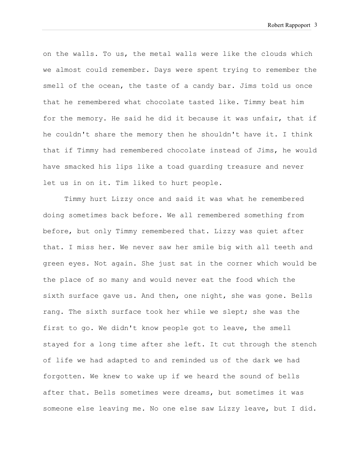Robert Rappoport 3

on the walls. To us, the metal walls were like the clouds which we almost could remember. Days were spent trying to remember the smell of the ocean, the taste of a candy bar. Jims told us once that he remembered what chocolate tasted like. Timmy beat him for the memory. He said he did it because it was unfair, that if he couldn't share the memory then he shouldn't have it. I think that if Timmy had remembered chocolate instead of Jims, he would have smacked his lips like a toad guarding treasure and never let us in on it. Tim liked to hurt people.

Timmy hurt Lizzy once and said it was what he remembered doing sometimes back before. We all remembered something from before, but only Timmy remembered that. Lizzy was quiet after that. I miss her. We never saw her smile big with all teeth and green eyes. Not again. She just sat in the corner which would be the place of so many and would never eat the food which the sixth surface gave us. And then, one night, she was gone. Bells rang. The sixth surface took her while we slept; she was the first to go. We didn't know people got to leave, the smell stayed for a long time after she left. It cut through the stench of life we had adapted to and reminded us of the dark we had forgotten. We knew to wake up if we heard the sound of bells after that. Bells sometimes were dreams, but sometimes it was someone else leaving me. No one else saw Lizzy leave, but I did.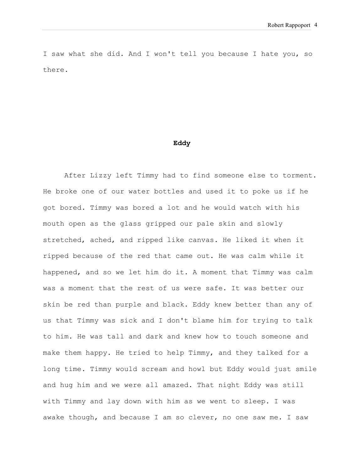I saw what she did. And I won't tell you because I hate you, so there.

#### **Eddy**

After Lizzy left Timmy had to find someone else to torment. He broke one of our water bottles and used it to poke us if he got bored. Timmy was bored a lot and he would watch with his mouth open as the glass gripped our pale skin and slowly stretched, ached, and ripped like canvas. He liked it when it ripped because of the red that came out. He was calm while it happened, and so we let him do it. A moment that Timmy was calm was a moment that the rest of us were safe. It was better our skin be red than purple and black. Eddy knew better than any of us that Timmy was sick and I don't blame him for trying to talk to him. He was tall and dark and knew how to touch someone and make them happy. He tried to help Timmy, and they talked for a long time. Timmy would scream and howl but Eddy would just smile and hug him and we were all amazed. That night Eddy was still with Timmy and lay down with him as we went to sleep. I was awake though, and because I am so clever, no one saw me. I saw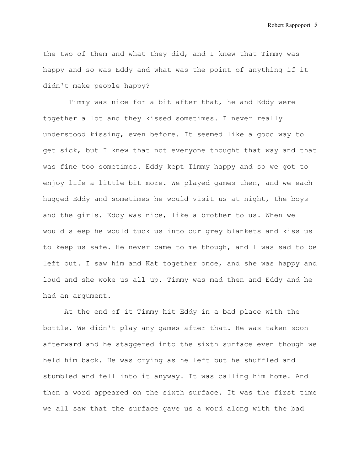the two of them and what they did, and I knew that Timmy was happy and so was Eddy and what was the point of anything if it didn't make people happy?

Timmy was nice for a bit after that, he and Eddy were together a lot and they kissed sometimes. I never really understood kissing, even before. It seemed like a good way to get sick, but I knew that not everyone thought that way and that was fine too sometimes. Eddy kept Timmy happy and so we got to enjoy life a little bit more. We played games then, and we each hugged Eddy and sometimes he would visit us at night, the boys and the girls. Eddy was nice, like a brother to us. When we would sleep he would tuck us into our grey blankets and kiss us to keep us safe. He never came to me though, and I was sad to be left out. I saw him and Kat together once, and she was happy and loud and she woke us all up. Timmy was mad then and Eddy and he had an argument.

At the end of it Timmy hit Eddy in a bad place with the bottle. We didn't play any games after that. He was taken soon afterward and he staggered into the sixth surface even though we held him back. He was crying as he left but he shuffled and stumbled and fell into it anyway. It was calling him home. And then a word appeared on the sixth surface. It was the first time we all saw that the surface gave us a word along with the bad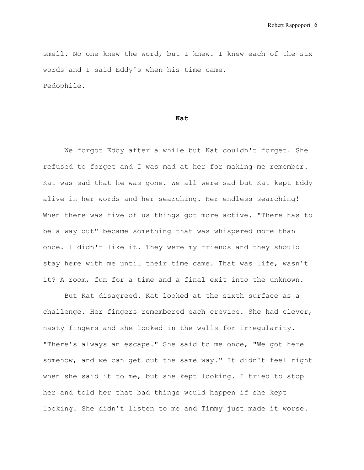smell. No one knew the word, but I knew. I knew each of the six words and I said Eddy's when his time came. Pedophile.

### **Kat**

We forgot Eddy after a while but Kat couldn't forget. She refused to forget and I was mad at her for making me remember. Kat was sad that he was gone. We all were sad but Kat kept Eddy alive in her words and her searching. Her endless searching! When there was five of us things got more active. "There has to be a way out" became something that was whispered more than once. I didn't like it. They were my friends and they should stay here with me until their time came. That was life, wasn't it? A room, fun for a time and a final exit into the unknown.

But Kat disagreed. Kat looked at the sixth surface as a challenge. Her fingers remembered each crevice. She had clever, nasty fingers and she looked in the walls for irregularity. "There's always an escape." She said to me once, "We got here somehow, and we can get out the same way." It didn't feel right when she said it to me, but she kept looking. I tried to stop her and told her that bad things would happen if she kept looking. She didn't listen to me and Timmy just made it worse.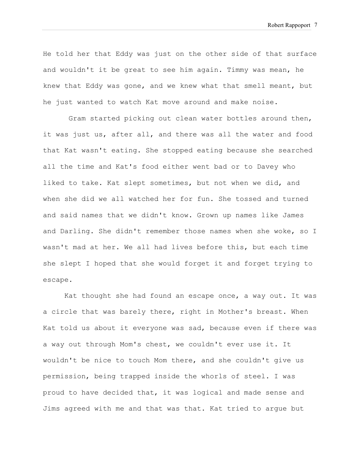He told her that Eddy was just on the other side of that surface and wouldn't it be great to see him again. Timmy was mean, he knew that Eddy was gone, and we knew what that smell meant, but he just wanted to watch Kat move around and make noise.

Gram started picking out clean water bottles around then, it was just us, after all, and there was all the water and food that Kat wasn't eating. She stopped eating because she searched all the time and Kat's food either went bad or to Davey who liked to take. Kat slept sometimes, but not when we did, and when she did we all watched her for fun. She tossed and turned and said names that we didn't know. Grown up names like James and Darling. She didn't remember those names when she woke, so I wasn't mad at her. We all had lives before this, but each time she slept I hoped that she would forget it and forget trying to escape.

Kat thought she had found an escape once, a way out. It was a circle that was barely there, right in Mother's breast. When Kat told us about it everyone was sad, because even if there was a way out through Mom's chest, we couldn't ever use it. It wouldn't be nice to touch Mom there, and she couldn't give us permission, being trapped inside the whorls of steel. I was proud to have decided that, it was logical and made sense and Jims agreed with me and that was that. Kat tried to argue but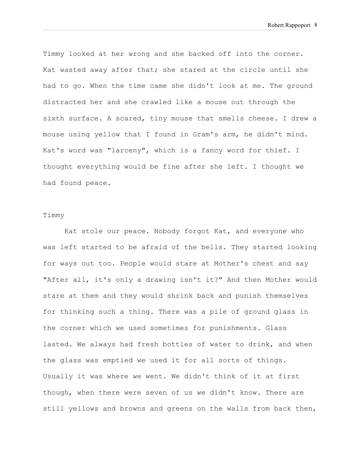Timmy looked at her wrong and she backed off into the corner. Kat wasted away after that; she stared at the circle until she had to go. When the time came she didn't look at me. The ground distracted her and she crawled like a mouse out through the sixth surface. A scared, tiny mouse that smells cheese. I drew a mouse using yellow that I found in Gram's arm, he didn't mind. Kat's word was "larceny", which is a fancy word for thief. I thought everything would be fine after she left. I thought we had found peace.

# Timmy

Kat stole our peace. Nobody forgot Kat, and everyone who was left started to be afraid of the bells. They started looking for ways out too. People would stare at Mother's chest and say "After all, it's only a drawing isn't it?" And then Mother would stare at them and they would shrink back and punish themselves for thinking such a thing. There was a pile of ground glass in the corner which we used sometimes for punishments. Glass lasted. We always had fresh bottles of water to drink, and when the glass was emptied we used it for all sorts of things. Usually it was where we went. We didn't think of it at first though, when there were seven of us we didn't know. There are still yellows and browns and greens on the walls from back then,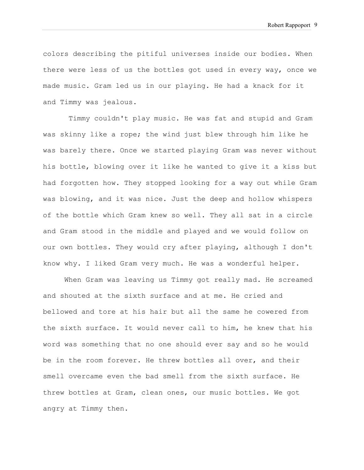colors describing the pitiful universes inside our bodies. When there were less of us the bottles got used in every way, once we made music. Gram led us in our playing. He had a knack for it and Timmy was jealous.

Timmy couldn't play music. He was fat and stupid and Gram was skinny like a rope; the wind just blew through him like he was barely there. Once we started playing Gram was never without his bottle, blowing over it like he wanted to give it a kiss but had forgotten how. They stopped looking for a way out while Gram was blowing, and it was nice. Just the deep and hollow whispers of the bottle which Gram knew so well. They all sat in a circle and Gram stood in the middle and played and we would follow on our own bottles. They would cry after playing, although I don't know why. I liked Gram very much. He was a wonderful helper.

When Gram was leaving us Timmy got really mad. He screamed and shouted at the sixth surface and at me. He cried and bellowed and tore at his hair but all the same he cowered from the sixth surface. It would never call to him, he knew that his word was something that no one should ever say and so he would be in the room forever. He threw bottles all over, and their smell overcame even the bad smell from the sixth surface. He threw bottles at Gram, clean ones, our music bottles. We got angry at Timmy then.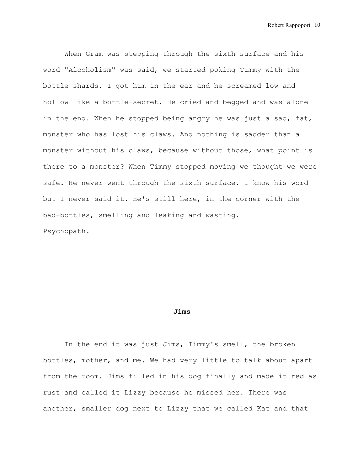When Gram was stepping through the sixth surface and his word "Alcoholism" was said, we started poking Timmy with the bottle shards. I got him in the ear and he screamed low and hollow like a bottle-secret. He cried and begged and was alone in the end. When he stopped being angry he was just a sad, fat, monster who has lost his claws. And nothing is sadder than a monster without his claws, because without those, what point is there to a monster? When Timmy stopped moving we thought we were safe. He never went through the sixth surface. I know his word but I never said it. He's still here, in the corner with the bad-bottles, smelling and leaking and wasting. Psychopath.

#### **Jims**

In the end it was just Jims, Timmy's smell, the broken bottles, mother, and me. We had very little to talk about apart from the room. Jims filled in his dog finally and made it red as rust and called it Lizzy because he missed her. There was another, smaller dog next to Lizzy that we called Kat and that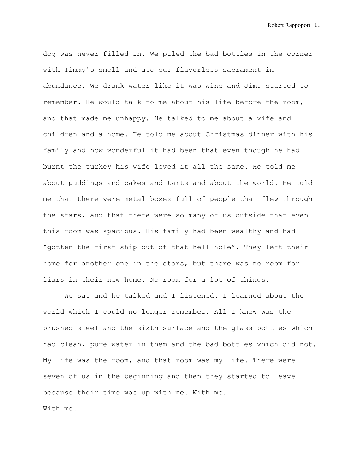dog was never filled in. We piled the bad bottles in the corner with Timmy's smell and ate our flavorless sacrament in abundance. We drank water like it was wine and Jims started to remember. He would talk to me about his life before the room, and that made me unhappy. He talked to me about a wife and children and a home. He told me about Christmas dinner with his family and how wonderful it had been that even though he had burnt the turkey his wife loved it all the same. He told me about puddings and cakes and tarts and about the world. He told me that there were metal boxes full of people that flew through the stars, and that there were so many of us outside that even this room was spacious. His family had been wealthy and had "gotten the first ship out of that hell hole". They left their home for another one in the stars, but there was no room for liars in their new home. No room for a lot of things.

We sat and he talked and I listened. I learned about the world which I could no longer remember. All I knew was the brushed steel and the sixth surface and the glass bottles which had clean, pure water in them and the bad bottles which did not. My life was the room, and that room was my life. There were seven of us in the beginning and then they started to leave because their time was up with me. With me. With me.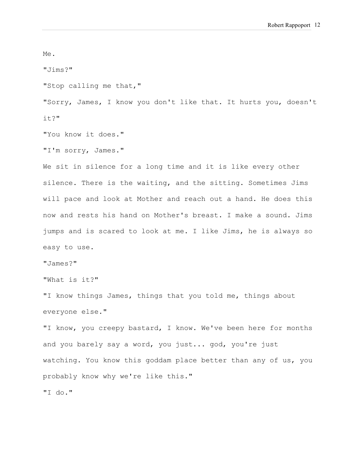Me.

"Jims?"

"Stop calling me that,"

"Sorry, James, I know you don't like that. It hurts you, doesn't it?"

"You know it does."

"I'm sorry, James."

We sit in silence for a long time and it is like every other silence. There is the waiting, and the sitting. Sometimes Jims will pace and look at Mother and reach out a hand. He does this now and rests his hand on Mother's breast. I make a sound. Jims jumps and is scared to look at me. I like Jims, he is always so easy to use.

"James?"

"What is it?"

"I know things James, things that you told me, things about everyone else."

"I know, you creepy bastard, I know. We've been here for months and you barely say a word, you just... god, you're just watching. You know this goddam place better than any of us, you probably know why we're like this."

"I do."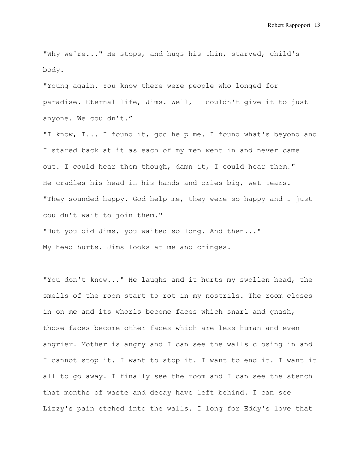"Why we're..." He stops, and hugs his thin, starved, child's body.

"Young again. You know there were people who longed for paradise. Eternal life, Jims. Well, I couldn't give it to just anyone. We couldn't."

"I know, I... I found it, god help me. I found what's beyond and I stared back at it as each of my men went in and never came out. I could hear them though, damn it, I could hear them!" He cradles his head in his hands and cries big, wet tears. "They sounded happy. God help me, they were so happy and I just couldn't wait to join them."

"But you did Jims, you waited so long. And then..." My head hurts. Jims looks at me and cringes.

"You don't know..." He laughs and it hurts my swollen head, the smells of the room start to rot in my nostrils. The room closes in on me and its whorls become faces which snarl and gnash, those faces become other faces which are less human and even angrier. Mother is angry and I can see the walls closing in and I cannot stop it. I want to stop it. I want to end it. I want it all to go away. I finally see the room and I can see the stench that months of waste and decay have left behind. I can see Lizzy's pain etched into the walls. I long for Eddy's love that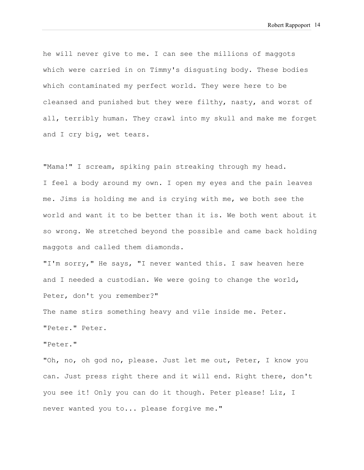he will never give to me. I can see the millions of maggots which were carried in on Timmy's disgusting body. These bodies which contaminated my perfect world. They were here to be cleansed and punished but they were filthy, nasty, and worst of all, terribly human. They crawl into my skull and make me forget and I cry big, wet tears.

"Mama!" I scream, spiking pain streaking through my head. I feel a body around my own. I open my eyes and the pain leaves me. Jims is holding me and is crying with me, we both see the world and want it to be better than it is. We both went about it so wrong. We stretched beyond the possible and came back holding maggots and called them diamonds.

"I'm sorry," He says, "I never wanted this. I saw heaven here and I needed a custodian. We were going to change the world, Peter, don't you remember?"

The name stirs something heavy and vile inside me. Peter. "Peter." Peter.

"Peter."

"Oh, no, oh god no, please. Just let me out, Peter, I know you can. Just press right there and it will end. Right there, don't you see it! Only you can do it though. Peter please! Liz, I never wanted you to... please forgive me."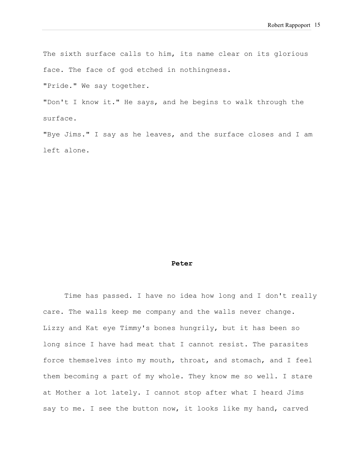The sixth surface calls to him, its name clear on its glorious face. The face of god etched in nothingness.

"Pride." We say together.

"Don't I know it." He says, and he begins to walk through the surface.

"Bye Jims." I say as he leaves, and the surface closes and I am left alone.

#### **Peter**

Time has passed. I have no idea how long and I don't really care. The walls keep me company and the walls never change. Lizzy and Kat eye Timmy's bones hungrily, but it has been so long since I have had meat that I cannot resist. The parasites force themselves into my mouth, throat, and stomach, and I feel them becoming a part of my whole. They know me so well. I stare at Mother a lot lately. I cannot stop after what I heard Jims say to me. I see the button now, it looks like my hand, carved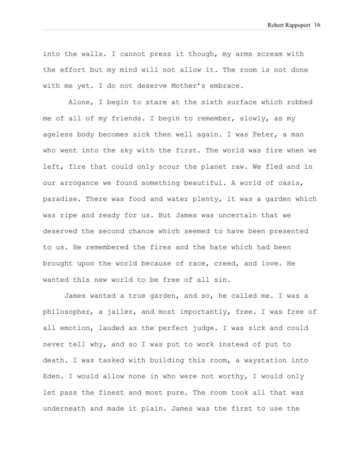into the walls. I cannot press it though, my arms scream with the effort but my mind will not allow it. The room is not done with me yet. I do not deserve Mother's embrace.

Alone, I begin to stare at the sixth surface which robbed me of all of my friends. I begin to remember, slowly, as my ageless body becomes sick then well again. I was Peter, a man who went into the sky with the first. The world was fire when we left, fire that could only scour the planet raw. We fled and in our arrogance we found something beautiful. A world of oasis, paradise. There was food and water plenty, it was a garden which was ripe and ready for us. But James was uncertain that we deserved the second chance which seemed to have been presented to us. He remembered the fires and the hate which had been brought upon the world because of race, creed, and love. He wanted this new world to be free of all sin.

James wanted a true garden, and so, he called me. I was a philosopher, a jailer, and most importantly, free. I was free of all emotion, lauded as the perfect judge. I was sick and could never tell why, and so I was put to work instead of put to death. I was tasked with building this room, a waystation into Eden. I would allow none in who were not worthy, I would only let pass the finest and most pure. The room took all that was underneath and made it plain. James was the first to use the